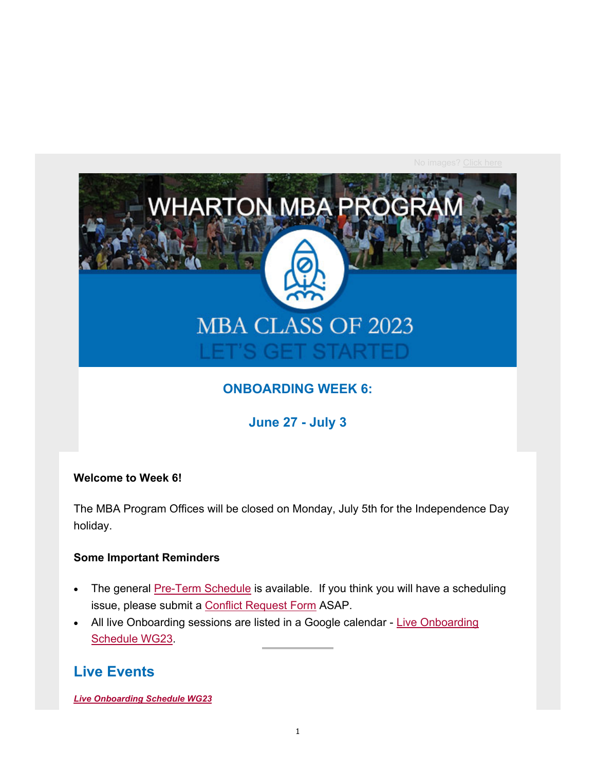

## **ONBOARDING WEEK 6:**

**June 27 - July 3**

### **Welcome to Week 6!**

The MBA Program Offices will be closed on Monday, July 5th for the Independence Day holiday.

#### **Some Important Reminders**

- The general Pre-Term Schedule is available. If you think you will have a scheduling issue, please submit a Conflict Request Form ASAP.
- All live Onboarding sessions are listed in a Google calendar Live Onboarding Schedule WG23.

## **Live Events**

*Live Onboarding Schedule WG23*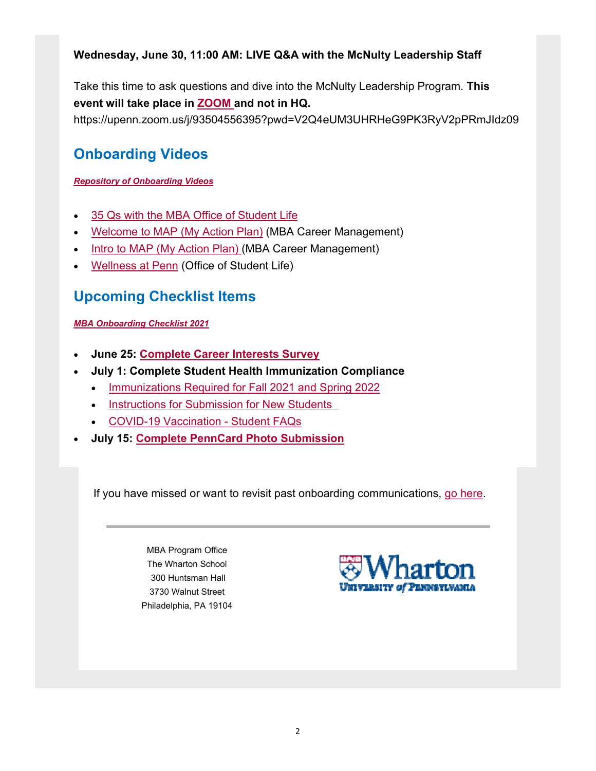## **Wednesday, June 30, 11:00 AM: LIVE Q&A with the McNulty Leadership Staff**

Take this time to ask questions and dive into the McNulty Leadership Program. **This event will take place in ZOOM and not in HQ.** https://upenn.zoom.us/j/93504556395?pwd=V2Q4eUM3UHRHeG9PK3RyV2pPRmJIdz09

# **Onboarding Videos**

### *Repository of Onboarding Videos*

- 35 Qs with the MBA Office of Student Life
- Welcome to MAP (My Action Plan) (MBA Career Management)
- Intro to MAP (My Action Plan) (MBA Career Management)
- Wellness at Penn (Office of Student Life)

# **Upcoming Checklist Items**

*MBA Onboarding Checklist 2021*

- **June 25: Complete Career Interests Survey**
- **July 1: Complete Student Health Immunization Compliance**
	- Immunizations Required for Fall 2021 and Spring 2022
	- **Instructions for Submission for New Students**
	- COVID-19 Vaccination Student FAQs
- **July 15: Complete PennCard Photo Submission**

If you have missed or want to revisit past onboarding communications, go here.

MBA Program Office The Wharton School 300 Huntsman Hall 3730 Walnut Street Philadelphia, PA 19104